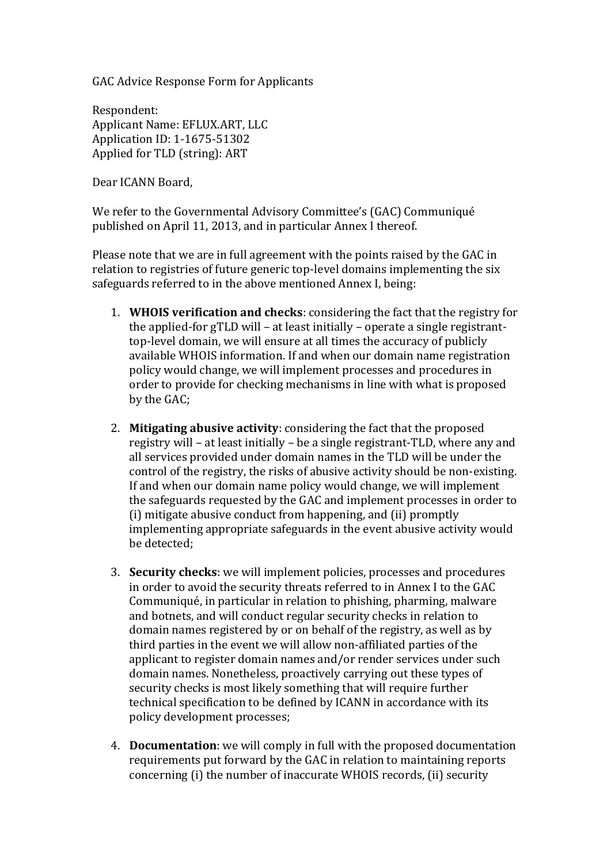GAC Advice Response Form for Applicants

Respondent: Applicant Name: EFLUX.ART, LLC Application ID: 1-1675-51302 Applied for TLD (string): ART

Dear ICANN Board,

We refer to the Governmental Advisory Committee's (GAC) Communiqué published on April 11, 2013, and in particular Annex I thereof.

Please note that we are in full agreement with the points raised by the GAC in relation to registries of future generic top-level domains implementing the six safeguards referred to in the above mentioned Annex I, being:

- 1. **WHOIS verification and checks**: considering the fact that the registry for the applied-for gTLD will – at least initially – operate a single registranttop-level domain, we will ensure at all times the accuracy of publicly available WHOIS information. If and when our domain name registration policy would change, we will implement processes and procedures in order to provide for checking mechanisms in line with what is proposed by the GAC;
- 2. **Mitigating abusive activity**: considering the fact that the proposed registry will – at least initially – be a single registrant-TLD, where any and all services provided under domain names in the TLD will be under the control of the registry, the risks of abusive activity should be non-existing. If and when our domain name policy would change, we will implement the safeguards requested by the GAC and implement processes in order to (i) mitigate abusive conduct from happening, and (ii) promptly implementing appropriate safeguards in the event abusive activity would be detected;
- 3. **Security checks**: we will implement policies, processes and procedures in order to avoid the security threats referred to in Annex I to the GAC Communiqué, in particular in relation to phishing, pharming, malware and botnets, and will conduct regular security checks in relation to domain names registered by or on behalf of the registry, as well as by third parties in the event we will allow non-affiliated parties of the applicant to register domain names and/or render services under such domain names. Nonetheless, proactively carrying out these types of security checks is most likely something that will require further technical specification to be defined by ICANN in accordance with its policy development processes;
- 4. **Documentation**: we will comply in full with the proposed documentation requirements put forward by the GAC in relation to maintaining reports concerning (i) the number of inaccurate WHOIS records, (ii) security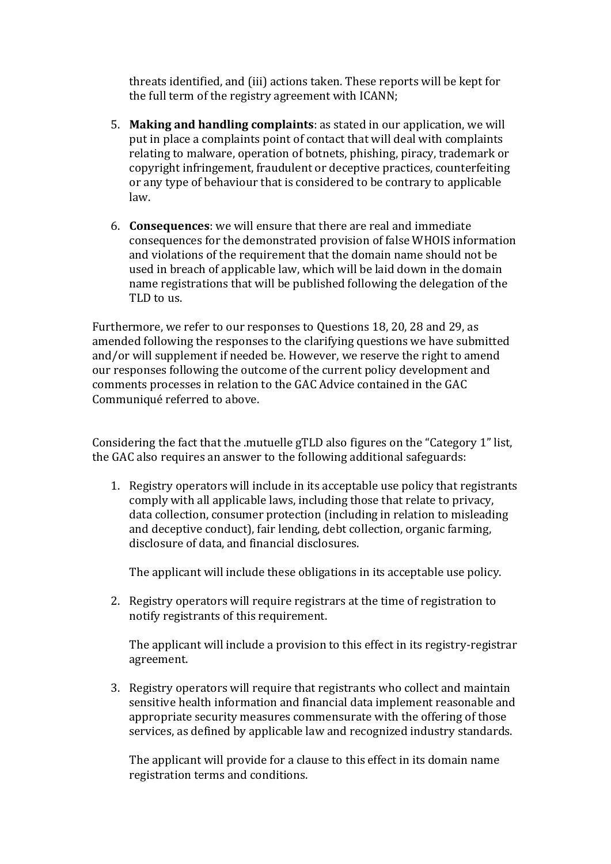threats identified, and (iii) actions taken. These reports will be kept for the full term of the registry agreement with ICANN;

- 5. **Making and handling complaints**: as stated in our application, we will put in place a complaints point of contact that will deal with complaints relating to malware, operation of botnets, phishing, piracy, trademark or copyright infringement, fraudulent or deceptive practices, counterfeiting or any type of behaviour that is considered to be contrary to applicable law.
- 6. **Consequences**: we will ensure that there are real and immediate consequences for the demonstrated provision of false WHOIS information and violations of the requirement that the domain name should not be used in breach of applicable law, which will be laid down in the domain name registrations that will be published following the delegation of the TLD to us.

Furthermore, we refer to our responses to Questions 18, 20, 28 and 29, as amended following the responses to the clarifying questions we have submitted and/or will supplement if needed be. However, we reserve the right to amend our responses following the outcome of the current policy development and comments processes in relation to the GAC Advice contained in the GAC Communiqué referred to above.

Considering the fact that the .mutuelle gTLD also figures on the "Category 1" list, the GAC also requires an answer to the following additional safeguards:

1. Registry operators will include in its acceptable use policy that registrants comply with all applicable laws, including those that relate to privacy, data collection, consumer protection (including in relation to misleading and deceptive conduct), fair lending, debt collection, organic farming, disclosure of data, and financial disclosures.

The applicant will include these obligations in its acceptable use policy.

2. Registry operators will require registrars at the time of registration to notify registrants of this requirement.

The applicant will include a provision to this effect in its registry-registrar agreement.

3. Registry operators will require that registrants who collect and maintain sensitive health information and financial data implement reasonable and appropriate security measures commensurate with the offering of those services, as defined by applicable law and recognized industry standards.

The applicant will provide for a clause to this effect in its domain name registration terms and conditions.